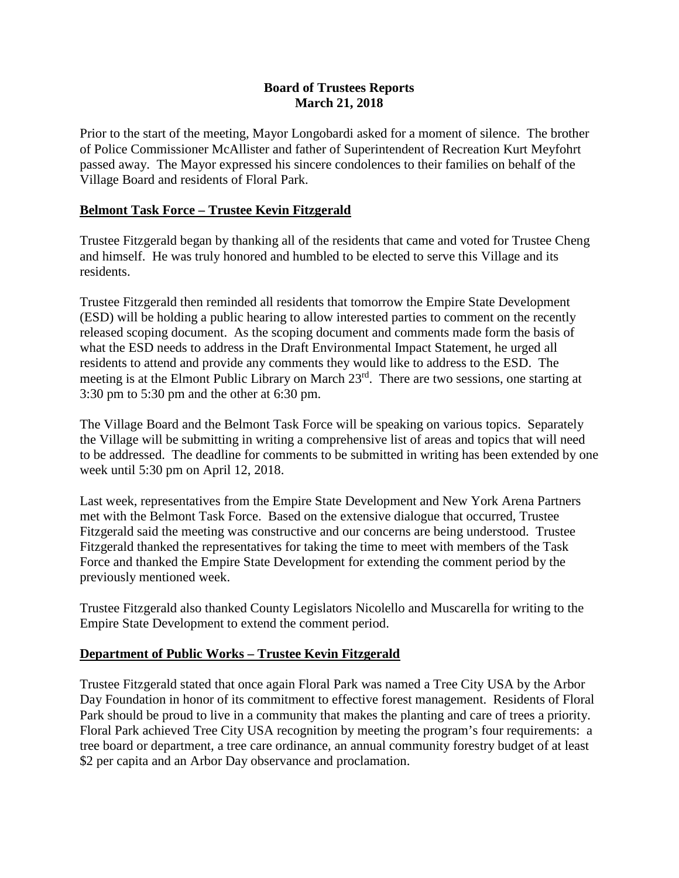#### **Board of Trustees Reports March 21, 2018**

Prior to the start of the meeting, Mayor Longobardi asked for a moment of silence. The brother of Police Commissioner McAllister and father of Superintendent of Recreation Kurt Meyfohrt passed away. The Mayor expressed his sincere condolences to their families on behalf of the Village Board and residents of Floral Park.

#### **Belmont Task Force – Trustee Kevin Fitzgerald**

Trustee Fitzgerald began by thanking all of the residents that came and voted for Trustee Cheng and himself. He was truly honored and humbled to be elected to serve this Village and its residents.

Trustee Fitzgerald then reminded all residents that tomorrow the Empire State Development (ESD) will be holding a public hearing to allow interested parties to comment on the recently released scoping document. As the scoping document and comments made form the basis of what the ESD needs to address in the Draft Environmental Impact Statement, he urged all residents to attend and provide any comments they would like to address to the ESD. The meeting is at the Elmont Public Library on March 23rd. There are two sessions, one starting at 3:30 pm to 5:30 pm and the other at 6:30 pm.

The Village Board and the Belmont Task Force will be speaking on various topics. Separately the Village will be submitting in writing a comprehensive list of areas and topics that will need to be addressed. The deadline for comments to be submitted in writing has been extended by one week until 5:30 pm on April 12, 2018.

Last week, representatives from the Empire State Development and New York Arena Partners met with the Belmont Task Force. Based on the extensive dialogue that occurred, Trustee Fitzgerald said the meeting was constructive and our concerns are being understood. Trustee Fitzgerald thanked the representatives for taking the time to meet with members of the Task Force and thanked the Empire State Development for extending the comment period by the previously mentioned week.

Trustee Fitzgerald also thanked County Legislators Nicolello and Muscarella for writing to the Empire State Development to extend the comment period.

## **Department of Public Works – Trustee Kevin Fitzgerald**

Trustee Fitzgerald stated that once again Floral Park was named a Tree City USA by the Arbor Day Foundation in honor of its commitment to effective forest management. Residents of Floral Park should be proud to live in a community that makes the planting and care of trees a priority. Floral Park achieved Tree City USA recognition by meeting the program's four requirements: a tree board or department, a tree care ordinance, an annual community forestry budget of at least \$2 per capita and an Arbor Day observance and proclamation.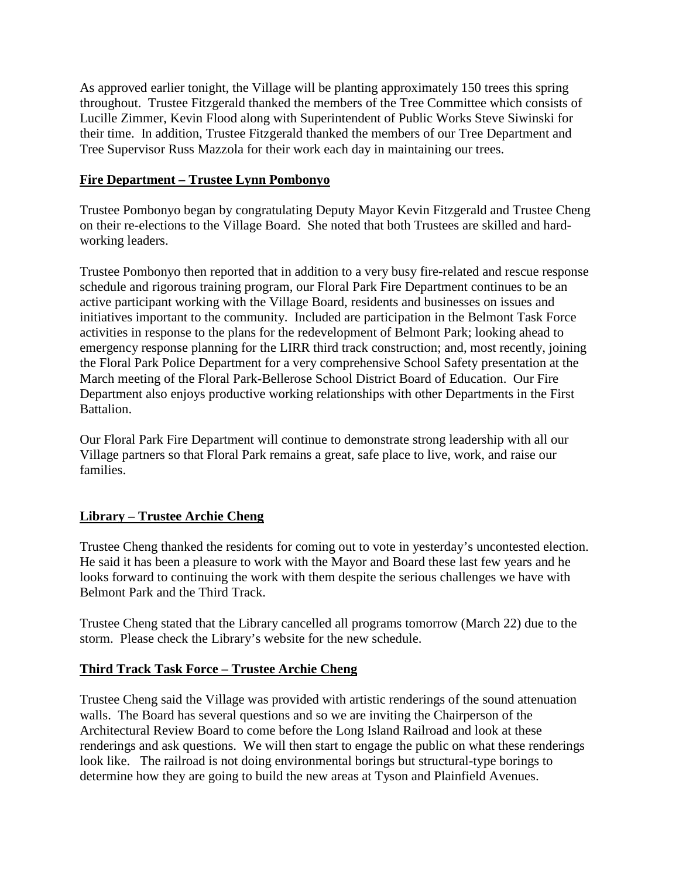As approved earlier tonight, the Village will be planting approximately 150 trees this spring throughout. Trustee Fitzgerald thanked the members of the Tree Committee which consists of Lucille Zimmer, Kevin Flood along with Superintendent of Public Works Steve Siwinski for their time. In addition, Trustee Fitzgerald thanked the members of our Tree Department and Tree Supervisor Russ Mazzola for their work each day in maintaining our trees.

#### **Fire Department – Trustee Lynn Pombonyo**

Trustee Pombonyo began by congratulating Deputy Mayor Kevin Fitzgerald and Trustee Cheng on their re-elections to the Village Board. She noted that both Trustees are skilled and hardworking leaders.

Trustee Pombonyo then reported that in addition to a very busy fire-related and rescue response schedule and rigorous training program, our Floral Park Fire Department continues to be an active participant working with the Village Board, residents and businesses on issues and initiatives important to the community. Included are participation in the Belmont Task Force activities in response to the plans for the redevelopment of Belmont Park; looking ahead to emergency response planning for the LIRR third track construction; and, most recently, joining the Floral Park Police Department for a very comprehensive School Safety presentation at the March meeting of the Floral Park-Bellerose School District Board of Education. Our Fire Department also enjoys productive working relationships with other Departments in the First Battalion.

Our Floral Park Fire Department will continue to demonstrate strong leadership with all our Village partners so that Floral Park remains a great, safe place to live, work, and raise our families.

## **Library – Trustee Archie Cheng**

Trustee Cheng thanked the residents for coming out to vote in yesterday's uncontested election. He said it has been a pleasure to work with the Mayor and Board these last few years and he looks forward to continuing the work with them despite the serious challenges we have with Belmont Park and the Third Track.

Trustee Cheng stated that the Library cancelled all programs tomorrow (March 22) due to the storm. Please check the Library's website for the new schedule.

## **Third Track Task Force – Trustee Archie Cheng**

Trustee Cheng said the Village was provided with artistic renderings of the sound attenuation walls. The Board has several questions and so we are inviting the Chairperson of the Architectural Review Board to come before the Long Island Railroad and look at these renderings and ask questions. We will then start to engage the public on what these renderings look like. The railroad is not doing environmental borings but structural-type borings to determine how they are going to build the new areas at Tyson and Plainfield Avenues.